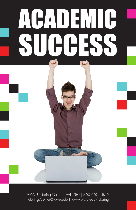# ACADEMIC SUCCESS

WWU Tutoring Center | WL 280 | 360.650.3855 Tutoring.Center@wwu.edu | www.wwu.edu/tutoring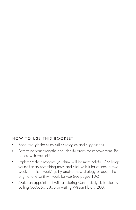#### HOW TO USE THIS BOOKLET

- Read through the study skills strategies and suggestions.
- Determine your strengths and identify areas for improvement. Be honest with yourself!
- Implement the strategies you think will be most helpful. Challenge yourself to try something new, and stick with it for at least a few weeks. If it isn't working, try another new strategy or adapt the original one so it will work for you (see pages 18-21).
- Make an appointment with a Tutoring Center study skills tutor by calling 360.650.3855 or visiting Wilson Library 280.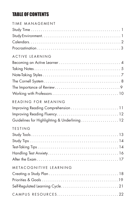# TABLE OF CONTENTS

| TIME MANAGEMENT                               |
|-----------------------------------------------|
|                                               |
|                                               |
|                                               |
|                                               |
| ACTIVE LEARNING                               |
|                                               |
|                                               |
|                                               |
|                                               |
|                                               |
|                                               |
| READING FOR MEANING                           |
| Improving Reading Comprehension  11           |
|                                               |
| Guidelines for Highlighting & Underlining  12 |
| TESTING                                       |
|                                               |
|                                               |
|                                               |
|                                               |
|                                               |
| METACOGNITIVE LEARNING                        |
|                                               |
|                                               |
|                                               |
|                                               |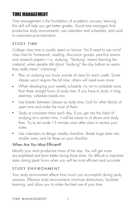# <span id="page-3-0"></span>TIME MANAGEMEI

Time management is the foundation of academic success; learning this skill will help you get better grades. Good time managers find productive study environments, use calendars and schedules, and work to overcome procrastination.

## STUDY TIME

College class time is usually spent on lecture. You'll need to use out-ofclass time for homework, reading, discussion groups, practice exams, and research papers—i.e. studying. "Studying" means learning the material; when people talk about "studying" the day before an exam, they really mean "cramming."

- Plan on studying two hours outside of class for each credit. Some classes won't require the full time; others will need even more.
- When developing your weekly schedule, try not to schedule more than three straight hours of study time. If you have to study in long stretches, schedule breaks too.
- Use breaks between classes as study time; look for other blocks of open time and make the most of them.
- Study at consistent times each day. If you get into the habit of studying at a certain time, it will be easier to sit down and study then. Try to set aside 15 minutes soon after class to review your notes.
- Use calendars to design weekly checklists. Break large tasks into smaller ones, and list these on your checklist.

## When Are You Most Efficient?

Identify your most productive times of the day. You will get more accomplished and learn better during those times. Do difficult or important tasks during peak hours when you will be most efficient and accurate.

## STUDY ENVIRONMENT

Your study environment affects how much you accomplish during study sessions. Effective study environments minimize distractions, facilitate learning, and allow you to make the best use of your time.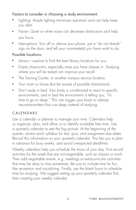## <span id="page-4-0"></span>Factors to consider in choosing a study environment:

- Lighting: Ample lighting minimizes eye-strain and can help keep you alert.
- Noise: Quiet or white noise can decrease distractions and help you focus.
- Interruptions: Turn off or silence your phone, put a "do not disturb" sign on the door, and tell your roommate(s) you have work to do.

## Possible locations:

- Library—explore to find the best library locations for you.
- Empty classrooms, especially ones you have classes in. Studying where you will be tested can improve your recall.
- The Tutoring Center, or another campus service location.
- Your room or house (but be aware of possible distractions).
- Don't study in bed. Your body is conditioned to react to specific environments, and in bed the environment is telling you, "it's time to go to sleep." This can trigger your brain to release neurotransmitters that cue sleep instead of studying.

## CALENDARS

Use a calendar or planner to manage your time. Calendars help us organize, plan, and allow us to identify available free time. Use a quarterly calendar to see the big picture. At the beginning of the quarter, review each syllabus for test, quiz, and assignment due dates. Record this information on your quarterly calendar. This lets you to plan in advance for busy weeks, and avoid unexpected deadlines.

Weekly calendars help you schedule the hours of your day. First record activities for the week that are non-negotiable, such as classes or work. Then add negotiable events, e.g. meetings or extracurricular activities that may be okay to miss sometimes. Be sure to include time for fun, like recreation and socializing. Finally, use the blank hours to schedule time for studying. We suggest setting up your quarterly calendar first, then creating your weekly calendar.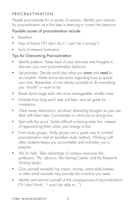## <span id="page-5-0"></span>PROCRASTINATION

People procrastinate for a variety of reasons. Identify your reasons for procrastination as a first step in learning to control the behavior.

## Possible causes of procrastination include:

- Boredom
- Fear of failure ("If I don't do it, I can't do it wrong!")
- Lack of interest/motivation

## Tips for Overcoming Procrastination:

- Identify patterns. Keep track of your activities and thoughts to discover your own procrastination behavior.
- Set priorities. Decide each day what you want and need to accomplish. Make active decisions regarding how to spend your time. Remember, it's not always possible to do everything you "should" or want to do.
- Break down large tasks into more manageable, smaller tasks.
- Estimate how long each step will take, and set goals for completion.
- Clear away distractions. Jot down distracting thoughts so you can deal with them later. Concentrate on what you're doing now.
- Start with the worst. Tackle difficult or boring tasks first, instead of approaching them when your energy is low.
- Form study groups. Study groups are a great way to combat procrastination and an excellent study method. Working with other students keeps you accountable and motivates you to prepare.
- Ask for help. Take advantage of campus resources like professors, TAs, advisors, the Tutoring Center, and the Research Writing Studio.
- Give yourself rewards! Ice cream, movies, extra study breaks, or other small rewards may provide the incentive you need.
- Identify and remind yourself of the consequences of procrastination ("If I don't fnish... I won't be able to...").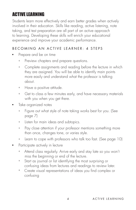# <span id="page-6-0"></span>ACTIVE LEARNING

Students learn more effectively and earn better grades when actively involved in their education. Skills like reading, active listening, note taking, and test preparation are all part of an active approach to learning. Developing these skills will enrich your educational experience and improve your academic performance.

## BECOMING AN ACTIVE LEARNER: 4 STEPS

- Prepare and be on time
	- $+$ Preview chapters and prepare questions.
	- + Complete assignments and reading before the lecture in which they are assigned. You will be able to identify main points more easily and understand what the professor is talking about.
	- $+$ Have a positive attitude.
	- $+$ Get to class a few minutes early, and have necessary materials with you when you get there.
- Take organized notes
	- + Figure out what style of note taking works best for you. (See page 7)
	- + Listen for main ideas and subtopics.
	- $+$ Pay close attention if your professor mentions something more than once, changes tone, or varies style.
	- + Learn to cope with professors who talk too fast. (See page 10)
- Participate actively in lecture
	- + Attend class regularly. Arrive early and stay late so you won't miss the beginning or end of the lecture.
	- $+$  Start as journal or list identifying the most surprising or confusing ideas from lectures and readings to review later.
	- $+$ Create visual representations of ideas you find complex or confusing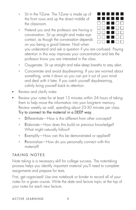- <span id="page-7-0"></span>+ Sit in the T-Zone. The T-Zone is made up of the front rows and up the direct middle of the classroom.
- $+$ Pretend you and the professor are having a conversation. Sit up straight and make eye contact, as though the conversation depends on you being a good listener. Nod when



you understand and ask a question if you are confused. Paying attention in this way improves your concentration and lets the professor know you are interested in the class.

- + Oxygenate. Sit up straight and take deep breaths to stay alert.
- + Concentrate and avoid daydreaming. If you are worried about something, write it down so you can put it out of your mind and deal with it later. If you catch yourself daydreaming, calmly bring yourself back to attention.
- Review and clarify notes
- Review your notes for at least 15 minutes within 24 hours of taking them to help move the information into your long-term memory. Review weekly as well, spending about 25-30 minutes per class.

Try to connect to the material in a DEEP way.

- + Differentiate—How is this different from other concepts?
- + Elaborate—How does this build on previous knowledge? What might naturally follow?
- $+$ Exemplify—How can this be demonstrated or applied?
- $+$ Personalize—How do you personally connect with this material?

## TAKING NOTES

Note taking is a necessary skill for college success. The note-taking process helps you identify important material you'll need to complete assignments and prepare for tests.

First, get organized! Use one notebook or binder to record all of your notes for a given course. Write the date and lecture topic at the top of your notes for each new lecture.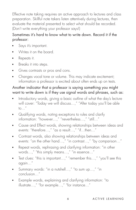Effective note taking requires an active approach to lectures and class preparation. Skillful note takers listen attentively during lectures, then evaluate the material presented to select what should be recorded. (Don't write everything your professor says!)

## Sometimes it's hard to know what to write down. Record it if the professor:

- Says it's important.
- Writes it on the board.
- Repeats it.
- Breaks it into steps.
- Gives contrasts or pros and cons.
- Changes vocal tone or volume. This may indicate excitement; information a professor is excited about often ends up on tests.

#### Another indicator that a professor is saying something you might want to write down is if they use signal words and phrases, such as:

- Introductory words, giving a basic outline of what the day's lecture will cover: "Today we will discuss…," "After today you'll be able to $\ldots$ "
- Qualifying words, noting exceptions to rules and clarify information: "however…," "nevertheless…," "still…"
- Cause and Effect words, showing relationships between ideas and events: "therefore…," "as a result…," "if…then…"
- Contrast words, also showing relationships between ideas and events: "on the other hand…," "in contrast…," "by comparison…"
- Repeat words, rephrasing and clarifying information: "in other words…," "this simply means…," "in essence…"
- Test clues: "this is important…," "remember this…," "you'll see this again…"
- Summary words: "in a nutshell…," "to sum up…," "in conclusion…"
- Example words, explaining and clarifying information: "to illustrate…," "for example…," "for instance…"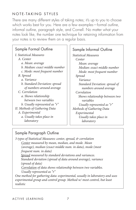## <span id="page-9-0"></span>NOTE-TAKING STYLES

There are many different styles of taking notes; it's up to you to choose which works best for you. Here are a few examples—formal outline, informal outline, paragraph style, and Cornell. No matter what your notes look like, the number one technique for retaining information from your notes is to review them on a regular basis.

## Sample Formal Outline

| <i>I. Statistical Measures</i> |
|--------------------------------|
| A. Center                      |
| a. Mean: average               |
| b. Median: exact middle number |
| c. Mode: most frequent number  |
| B. Spread                      |
| a. Variance                    |
| b. Standard Deviation: spread  |
| of numbers around average      |
| C. Correlation                 |
| a. Shows relationship          |
| between two variables          |
| b. Usually represented as "r"  |
| II. Methods of Gathering Data  |
| A. Experimental                |
| a. Usually takes place in      |
| laboratory                     |

#### Sample Informal Outline

*Statistical Measures Center Mean: average Median: exact middle number Mode: most frequent number Spread Variance Standard Deviation: spread of numbers around average Correlation Shows relationship between two variables Usually represented as "r" Methods of Gathering Data Experimental Usually takes place in laboratory* 

#### Sample Paragraph Outline

*3 types of Statistical Measures: center, spread, & correlation Center measured by mean, median, and mode. Mean (average), median (exact middle num. in data), mode (most frequent num. in data) Spread measured by standard deviations and variances. Standard deviation (spread of data around average), variance (spread of data) Correlation of data shows relationship between two variables. Usually represented as "r" One method for gathering data: experimental, usually in laboratory and uses experimental group and control group. Method w/ most control, but least realistic*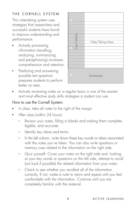## THE CORNELL SYSTEM

This note-taking system uses strategies that researchers and successful students have found to improve understanding and

- Actively processing information (recalling, analyzing, summarizing, and paraphrasing) increases comprehension and retention.
- Predicting and answering possible test questions and summaries prepares students to perform better on tests.

<span id="page-10-0"></span>

■ Actively reviewing notes on a regular basis is one of the easiest and most effective study skills strategies a student can use.

#### How to use the Cornell System:

- In class: take all notes to the right of the margin
- After class (within 24 hours):
	- + Review your notes, flling in blanks and making them complete, legible, and accurate.
	- $+$ Identify key ideas and terms.
	- $+$ In the left column, write down these key words or ideas associated with the notes you've taken. You can also write questions or memory cues related to the information on the right side.
	- + Quiz yourself. Cover your notes on the right side and, looking at your key words or questions on the left side, attempt to recall (out loud if possible) the related information from your notes.
- + Check to see whether you recalled all of the information correctly. If not, make a note to return and repeat until you feel comfortable with the information. Continue until you are ive understanding and<br>
ince:<br>
Yely processing<br>
wely processing<br>
mation (recalling,<br>
hyzing, summarizing,<br>
paraphrasing) increases<br>
prehension and retention.<br>
licting and answering<br>
sible test questions<br>
are students to per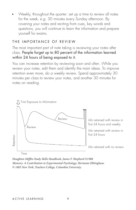<span id="page-11-0"></span>■ Weekly, throughout the quarter: set up a time to review all notes for the week, e.g. 30 minutes every Sunday afternoon. By covering your notes and reciting from cues, key words and questions, you will continue to learn the information and prepare yourself for exams.

#### THE IMPORTANCE OF REVIEW

The most important part of note taking is reviewing your notes after class. People forget up to 80 percent of the information learned within 24 hours of being exposed to it.

You can increase retention by reviewing soon and often. While you review your notes, edit them and identify the main ideas. To improve retention even more, do a weekly review. Spend approximately 30 minutes per class to review your notes, and another 30 minutes for notes on reading.



*Houghton Mifin Study Skills Handbook, James F. Shepherd ©1988 Memory: A Contribution to Experimental Psychology, Hermann Ebbinghaus*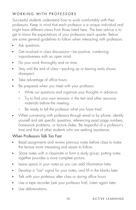## <span id="page-12-0"></span>WORKING WITH PROFESSORS

Successful students understand how to work comfortably with their professors. Keep in mind that each professor is a unique individual and might have different views from those listed here. The best advice is to get to know the expectations of your professors each quarter. Below are some general guidelines to follow when interacting with professors.

- Ask questions.
- Get involved in class discussions—be positive, combining inquisitiveness with an open mind.
- Do your work thoroughly and on time.
- Stay until the end of class—packing up or leaving early shows disrespect.
- Take advantage of office hours.
- Be prepared when you meet with your professor.
	- + Write out questions and organize your thoughts in advance.
	- + Try to find your own answers in the text and other resource materials before the meeting.
	- + Be ready to tell the professor what you have tried.
- When conversing with professors through email or by phone, identify yourself and ask specific questions, referencing exact page numbers, homework problems, or lecture slides. Be respectful of a professor's time and that of other students who are seeking assistance.

## When Professors Talk Too Fast

- Read assignments and review previous notes before class to make the lecture more interesting and easier to follow.
- Share notes with a classmate or form a study group; putting notes together provides a more complete picture.
- Leave space in your notes so you can add information later.
- Develop a "lost" signal for your notes, and fll in the blanks later.
- Talk with your professor after class or during office hours.
- Use a tape recorder (ask your professor first). Listen again later.
- Use abbreviations.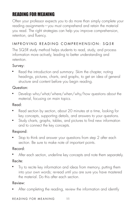# <span id="page-13-0"></span>RFANING FOR MFANI

Often your professor expects you to do more than simply complete your reading assignments—you must comprehend and retain the material you read. The right strategies can help you improve comprehension, retention, and fluency.

## IMPROVING READING COMPREHENSION: SQ5R

The SQ5R study method helps students to read, study, and process information more actively, leading to better understanding and retention.

#### Survey:

■ Read the introduction and summary. Skim the chapter, noting headings, pictures, charts, and graphs, to get an idea of general structure and content before you begin reading.

## Question:

■ Develop who/what/where/when/why/how questions about the material, focusing on main topics.

#### Read:

- Read section by section, about 20 minutes at a time, looking for key concepts, supporting details, and answers to your questions.
- Study charts, graphs, tables, and pictures to find new information and to connect the key concepts.

## Respond:

■ Stop to think and answer your questions from step 2 after each section. Be sure to make note of important points.

## Record:

■ After each section, underline key concepts and note them separately.

#### Recite:

■ Try to recite key information and ideas from memory, putting them into your own words; re-read until you are sure you have mastered the material. Do this after each section.

## Review:

■ After completing the reading, review the information and identify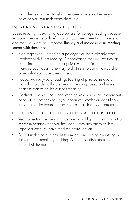<span id="page-14-0"></span>main themes and relationships between concepts. Revise your notes so you can understand them later.

## INCREASING READING FLUENCY

Speed-reading is usually not appropriate for college reading because textbooks are dense with information; you need time to comprehend and make connections. Improve fluency and increase your reading speed with these tips:

- Stop regression. Rereading a passage you have already read interferes with fluent reading. Concentrating the first time through can eliminate regression. Recognize when you're rereading and increase your focus. One way to do this is to use a note-card to cover what you have already read.
- Reduce word-by-word reading. Looking at phrases instead of individual words, will increase your reading speed and make it easier to determine the author's meaning.
- Confront confusion. Misunderstanding key words can interfere with concept comprehension. If you encounter words you don't know, try to gather the meaning from context first, then look them up.

## GUIDELINES FOR HIGHLIGHTING & UNDERLINING

- Read a section before you underline or highlight it. Information that seems important when you first read it may turn out to be less important after you have read the entire section.
- Do not underline or highlight too much. Underlining everything is the same as underlining nothing. Aim to underline about 15 percent of the material.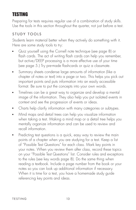# <span id="page-15-0"></span>TESTING

Preparing for tests requires regular use of a combination of study skills. Use the tools in this section throughout the quarter, not just before a test.

## STUDY TOOLS

Students learn material better when they actively do something with it. Here are some study tools to try:

- Quiz yourself using the Cornell note technique (see page 8) or flash cards. The act of writing flash cards can help you remember, but active/DEEP processing is a more effective use of your time (see page 5.) Try pre-made fashcards or quiz a classmate.
- Summary sheets condense large amounts of information (like a chapter of notes or text) into a page or two. This helps you pick out important points and puts information into an easily accessible format. Be sure to put the concepts into your own words.
- Timelines can be a great way to organize and develop a mental image of the information. They also help you put isolated events in context and see the progression of events or ideas.
- Charts help clarify information with many categories or subtypes.
- Mind maps and detail trees can help you visualize information when taking a test. Making a mind map or a detail tree helps you mentally organize information and can be used to review and recall information.
- Predicting test questions is a quick, easy way to review the main points of a chapter when you are studying for a test. Keep a list of "Possible Test Questions" for each class. Mark key points in your notes. When you review them after class, record these topics on your "Possible Test Questions" list. Consider rules and exceptions to the rules (see key words page 8). Do the same thing when reading a textbook. Include a page number from the book or your notes so you can look up additional information if necessary. When it is time for a test, you have a homemade study guide referencing key points and ideas.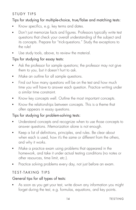## <span id="page-16-0"></span>STUDY TIPS

#### Tips for studying for multiple-choice, true/false and matching tests:

- Know specifics, e.g. key terms and dates.
- Don't just memorize facts and figures. Professors typically write test questions that check your overall understanding of the subject and its concepts. Prepare for "trick-questions." Study the exceptions to the rule!
- Use study tools, above, to review the material.

#### Tips for studying for essay tests:

- Ask the professor for sample questions; the professor may not give them to you, but it doesn't hurt to ask.
- Make an outline for all sample questions.
- Find out how many questions will be on the test and how much time you will have to answer each question. Practice writing under a similar time constraint.
- Know key concepts well. Outline the most important concepts.
- Know the relationships between concepts. This is a theme that often appears in essay questions.

#### Tips for studying for problem-solving tests:

- Understand concepts and recognize when to use those concepts to answer questions. Memorization alone is not enough.
- Keep a list of definitions, principles, and rules. Be clear about when each is used, how it's the same or different from the others, and why it works.
- Make a practice exam using problems that appeared in the homework, and take it under actual testing conditions (no notes or other resources, time limit, etc.).
- Practice solving problems every day, not just before an exam.

## TEST-TAKING TIPS

#### General tips for all types of tests:

■ As soon as you get your test, write down any information you might forget during the test, e.g. formulas, equations, and key points.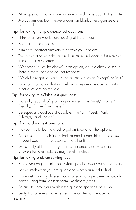- Mark questions that you are not sure of and come back to them later.
- Always answer. Don't leave a question blank unless guesses are penalized.

## Tips for taking multiple-choice test questions:

- Think of an answer before looking at the choices.
- Read all of the options.
- Eliminate incorrect answers to narrow your choices.
- Try each option with the original question and decide if it makes a true or a false statement.
- Whenever "all of the above" is an option, double check to see if there is more than one correct response.
- Watch for negative words in the question, such as "except" or "not."
- Look for information that will help you answer one question within other questions on the test.

## Tips for taking true/false test questions:

- Carefully read all of qualifying words such as "most," "some," "usually," "more," and "less."
- Be especially cautious of absolutes like "all," "best," "only," "always," and "never."

## Tips for matching test questions:

- Preview lists to be matched to get an idea of all the options.
- As you start to match items, look at one list and think of the answer in your head before you search the other list.
- Guess only at the end. If you guess incorrectly early, correct answers for later matches may be eliminated.

## Tips for taking problem-solving tests:

- Before you begin, think about what type of answer you expect to get.
- Ask yourself what you are given and what you need to find.
- If you get stuck, try different ways of solving a problem on scratch paper, using formulas that seem like they might fit.
- Be sure to show your work if the question specifies doing so.
- Verify that answers make sense in the context of the question. TESTING 15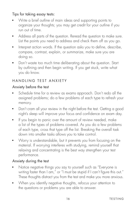## <span id="page-18-0"></span>Tips for taking essay tests:

- Write a brief outline of main ideas and supporting points to organize your thoughts; you may get credit for your outline if you run out of time.
- Address all parts of the question. Reread the question to make sure. List the points you need to address and check them off as you go.
- Interpret action words. If the question asks you to define, describe, compare, contrast, explain, or summarize, make sure you are doing so.
- Don't waste too much time deliberating about the question. Start by outlining and then begin writing. If you get stuck, write what you do know.

## HANDLING TEST ANXIETY

## Anxiety before the test

- Schedule time for a review as exams approach. Don't redo all the assigned problems; do a few problems of each type to refresh your memory.
- Don't cram all your review in the night before the test. Getting a good night's sleep will improve your focus and confdence on exam day.
- If you begin to panic over the amount of review needed, make a list of the types of problems covered. As you do a few problems of each type, cross that type off the list. Breaking the overall task down into smaller tasks allows you to take control.
- Worry is understandable, but it prevents you from focusing on the material. If worrying interferes with studying, remind yourself that relaxing and concentrating is the best way strengthen your test performance.

## Anxiety during the test

- Notice negative things you say to yourself such as "Everyone is writing faster than I am," or "I must be stupid if I can't figure this out." These thoughts distract you from the test and make you more anxious.
- When you identify negative thoughts, refocus your attention to the questions or problems you are able to answer.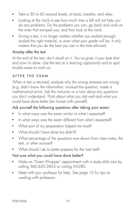- <span id="page-19-0"></span>■ Take a 30 to 60 second break; sit back, breathe, and relax.
- Looking at the clock to see how much time is left will not help you do any problems. Do the problems you can, go back and work on the ones that stumped you, and then look at the clock.
- During a test, it no longer matters whether you studied enough, studied the right material, or even what your grade will be. It only matters that you do the best you can in the time allowed.

#### Anxiety after the test

At the end of the test, don't dwell on it. You've given it your best shot and now it's done. Use the test as a learning opportunity and to spot trouble areas to work on.

#### AFTER THE EXAM

When a test is returned, analyze why the wrong answers are wrong (e.g. didn't know the information, misread the question, made a mathematical error). Ask the instructor or a tutor about any questions you don't understand. Think about what you did well and what you could have done better (be honest with yourself).

## Ask yourself the following questions after taking your exam:

- In what ways was the exam similar to what I expected?
- In what ways was the exam different from what I expected?
- What part of my preparation helped me most?
- What should I have done but didn't?
- What percentage of the questions was drawn from class notes, the text, or other sources?
- What should I do to better prepare for the next test?

## Not sure what you could have done better?

- Make an "Exam Wrapper" appointment with a study skills tutor by calling 360.650.3855 or visiting WL280.
- Meet with your professor for help. See page 10 for tips on working with professors.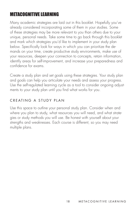## <span id="page-20-0"></span>METACOGNITIVE LEARNING

Many academic strategies are laid out in this booklet. Hopefully you've already considered incorporating some of them in your studies. Some of these strategies may be more relevant to you than others due to your unique, personal needs. Take some time to go back through this booklet and mark which strategies you'd like to implement in your study plan below. Specifically look for ways in which you can prioritize the demands on your time, create productive study environments, make use of your resources, deepen your connection to concepts, retain information, identify areas for self-improvement, and increase your preparedness and confdence for exams.

Create a study plan and set goals using these strategies. Your study plan and goals can help you articulate your needs and assess your progress. Use the self-regulated learning cycle as a tool to consider ongoing adjustments to your study plan until you find what works for you.

## CREATING A STUDY PLAN

Use this space to outline your personal study plan. Consider when and where you plan to study, what resources you will need, and what strategies or study methods you will use. Be honest with yourself about your strengths and weaknesses. Each course is different, so you may need multiple plans.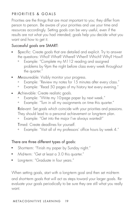## <span id="page-21-0"></span>PRIORITIES & GOALS

Priorities are the things that are most important to you; they differ from person to person. Be aware of your priorities and use your time and resources accordingly. Setting goals can be very useful, even if the results are not what you had intended; goals help you decide what you want and how to get it.

#### Successful goals are SMART:

- Specific: Create goals that are detailed and explicit. Try to answer the questions: Who? What? Where? When? Which? Why? How?
	- + Example: "Complete my M112 reading and assigned problems by 9pm the night before class every week throughout the quarter."
- Measureable: Visibly monitor your progress.
	- + Example: "Review my notes for 15 minutes after every class."
	- + Example: "Read 50 pages of my history text every evening."
- Achievable: Create realistic goals.
	- + Example: "Write my 10-page paper by next week."
	- + Example: "Turn in all my assignments on time this quarter."

Relevant: Set goals which coincide with your priorities and passions. They should lead to a personal achievement or long-term plan.

+ Example: "Get into the major I've always wanted!"

Timed: Create deadlines for yourself.

+ Example: "Visit all of my professors' office hours by week 4."

#### There are three different types of goals:

- Short-term: "Finish my paper by Sunday night."
- Mid-term: "Get at least a 3.0 this quarter."
- Long-term: "Graduate in four years."

When setting goals, start with a long-term goal and then set mid-term and short-term goals that will act as steps toward your larger goals. Reevaluate your goals periodically to be sure they are still what you really want.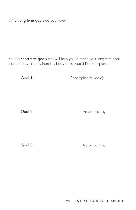What long term goals do you have?

Set 1-3 short-term goals that will help you to reach your long-term goal. Include the strategies from this booklet that you'd like to implement.

Goal 1:

Accomplish by (date):

Goal 2:

Accomplish by:

Goal 3:

Accomplish by: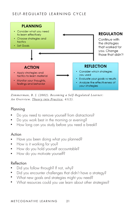## <span id="page-23-0"></span>SELF-REGULATED LEARNING CYCLE



*Zimmerman, B. J. (2002). Becoming a Self-Regulated Learner:*  An Overview. Theory into Practice, 41(2).

## Planning

- ī ■ Do you need to remove yourself from distractions?
- Do you work best in the morning or evening?
- How long can you study before you need a break?

#### Action

- Have you been doing what you planned?
- How is it working for you?
- How do you hold yourself accountable?
- How do you motivate yourself?

## Reflection

- Did you follow through? If not, why?
- Did you encounter challenges that didn't have a strategy?
- What new goals and strategies might you need?
- What resources could you use learn about other strategies?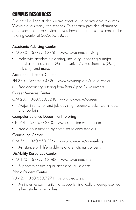# <span id="page-24-0"></span>CAMPUS RESOURCES

Successful college students make effective use of available resources. Western offers many free services. This section provides information about some of those services. If you have further questions, contact the Tutoring Center at 360.650.3855.

## Academic Advising Center

OM 380 | 360.650.3850 | <www.wwu.edu/advising>

■ Help with academic planning, including: choosing a major, registration assistance, General University Requirements (GUR) advising, and more.

## Accounting Tutorial Center

PH 336 | 360.650.4826 | <www.wwubap.org/tutorial-center>

■ Free accounting tutoring from Beta Alpha Psi volunteers.

#### Career Services Center

OM 280 | 360.650.3240 | <www.wwu.edu/careers>

■ Major, internship, and job advising; resume checks, workshops, and job fairs.

## Computer Science Department Tutoring

CF 164 | 360.650.2300 | [wwucs.mentors@gmail.com](mailto:wwucs.mentors@gmail.com)

■ Free drop-in tutoring by computer science mentors.

## Counseling Center

OM 540 | 360.650.3164 | <www.wwu.edu/counseling>

■ Assistance with life problems and emotional concerns.

## DisAbility Resources Center

OM 120 | 360.650.3083 | <www.wwu.edu/drs>

■ Support to ensure equal access for all students.

## Ethnic Student Center

VU 420 | 360.650.7271 | [as.wwu.edu/esc](https://as.wwu.edu/esc) 

■ An inclusive community that supports historically underrepresented ethnic students and allies.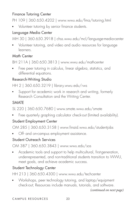## Finance Tutoring Center

PH 109 | 360.650.4202 | <www.wwu.edu/fma/tutoring.html>

■ Volunteer tutoring by senior finance students.

## Language Media Center

MH 30 | 360.650.3918 | [chss.wwu.edu/mcl/language-media-center](https://chss.wwu.edu/mcl/language-media-center) 

■ Volunteer tutoring, and video and audio resources for language learners.

## Math Center

BH 211A | 360.650.3813 | <www.wwu.edu/mathcenter>

■ Free peer tutoring in calculus, linear algebra, statistics, and differential equations.

## Research-Writing Studio

HH 2 | 360.650.3219 | [library.wwu.edu/rws](https://library.wwu.edu/rws) 

■ Support for academic work in research and writing, formerly Research Consultation and the Writing Center.

## SMATE

SL 220 | 360.650.7680 |<www.smate.wwu.edu/smate>

■ Free quarterly graphing calculator check-out (limited availability).

## Student Employment Center

OM 285 | 360.650.3158 | [www.fnaid.wwu.edu/studentjobs](www.finaid.wwu.edu/studentjobs)

■ Off- and on-campus employment assistance.

## Student Outreach Services

OM 387 | 360.650.3843 | <www.wwu.edu/sos>

■ Academic tools and support to help multicultural, first-generation, underrepresented, and non-traditional students transition to WWU, meet goals, and achieve academic success.

## Student Technology Center

HH 213 | 360.650.4300 |<www.wwu.edu/techcenter>

■ Workshops, peer technology tutoring, and laptop/equipment check-out; Resources include manuals, tutorials, and software.

```
(continued on next page)
```